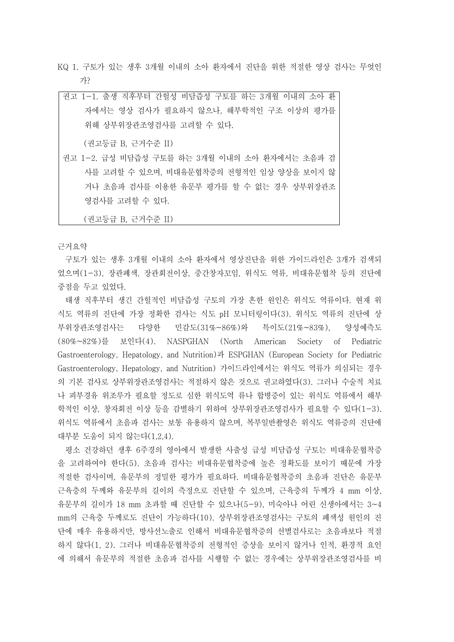KQ 1. 구토가 있는 생후 3개월 이내의 소아 환자에서 진단을 위한 적절한 영상 검사는 무엇인 가?

권고 1-1. 출생 직후부터 간헐성 비담즙성 구토를 하는 3개월 이내의 소아 환 자에서는 영상 검사가 필요하지 않으나, 해부학적인 구조 이상의 평가를 위해 상부위장관조영검사를 고려할 수 있다. (권고등급 B, 근거수준 II)

권고 1-2. 급성 비담즙성 구토를 하는 3개월 이내의 소아 환자에서는 초음파 검 사를 고려할 수 있으며, 비대유문협착증의 전형적인 임상 양상을 보이지 않 거나 초음파 검사를 이용한 유문부 평가를 할 수 없는 경우 상부위장관조 영검사를 고려할 수 있다.<br>(권고등급 B, 근거수준 II)

근거요약

구토가 있는 생후 3개월 이내의 소아 환자에서 영상진단을 위한 가이드라인은 3개가 검색되 었으며(1-3), 장관폐색, 장관회전이상, 중간창자꼬임, 위식도 역류, 비대유문협착 등의 진단에 중점을 두고 있었다.

태생 직후부터 생긴 간헐적인 비담즙성 구토의 가장 흔한 원인은 위식도 역류이다. 현재 위 식도 역류의 진단에 가장 정확한 검사는 식도 pH 모니터링이다(3). 위식도 역류의 진단에 상 부위장관조영검사는 다양한 민감도(31%~86%)와 특이도(21%~83%), 양성예측도 (80%~82%)를 보인다(4). NASPGHAN (North American Society of Pediatric Gastroenterology, Hepatology, and Nutrition)과 ESPGHAN (European Society for Pediatric Gastroenterology, Hepatology, and Nutrition) 가이드라인에서는 위식도 역류가 의심되는 경우 의 기본 검사로 상부위장관조영검사는 적절하지 않은 것으로 권고하였다(3). 그러나 수술적 치료 나 피부경유 위조루가 필요할 정도로 심한 위식도역 류나 합병증이 있는 위식도 역류에서 해부 학적인 이상, 창자회전 이상 등을 감별하기 위하여 상부위장관조영검사가 필요할 수 있다(1-3). 위식도 역류에서 초음파 검사는 보통 유용하지 않으며, 복부일반촬영은 위식도 역류증의 진단에 대부분 도움이 되지 않는다(1,2,4).

평소 건강하던 생후 6주경의 영아에서 발생한 사출성 급성 비담즙성 구토는 비대유문협착증 을 고려하여야 한다(5). 초음파 검사는 비대유문협착증에 높은 정확도를 보이기 때문에 가장 적절한 검사이며, 유문부의 정밀한 평가가 필요하다. 비대유문협착증의 초음파 진단은 유문부 근육층의 두께와 유문부의 길이의 측정으로 진단할 수 있으며, 근육층의 두께가 4 mm 이상,<br>유문부의 길이가 18 mm 초과할 때 진단할 수 있으나(5-9), 미숙아나 어린 신생아에서는 3~4 mm의 근육층 두께로도 진단이 가능하다(10). 상부위장관조영검사는 구토의 폐색성 원인의 진 단에 매우 유용하지만, 방사선노출로 인해서 비대유문협착증의 선별검사로는 초음파보다 적절 하지 않다(1, 2). 그러나 비대유문협착증의 전형적인 증상을 보이지 않거나 인적, 환경적 요인 에 의해서 유문부의 적절한 초음파 검사를 시행할 수 없는 경우에는 상부위장관조영검사를 비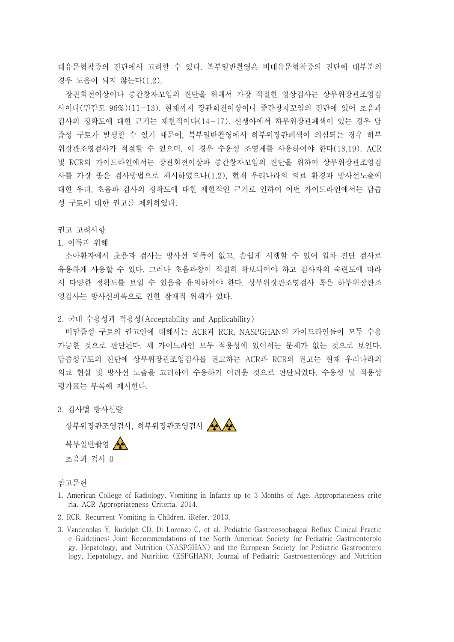대유문협착증의 진단에서 고려할 수 있다. 복부일반촬영은 비대유문협착증의 진단에 대부분의 경우 도움이 되지 않는다(1,2).

장관회전이상이나 중간창자꼬임의 진단을 위해서 가장 적절한 영상검사는 상부위장관조영검 사이다(민감도 96%)(11-13). 현재까지 장관회전이상이나 중간창자꼬임의 진단에 있어 초음파 검사의 정확도에 대한 근거는 제한적이다(14-17). 신생아에서 하부위장관폐색이 있는 경우 담 즙성 구토가 발생할 수 있기 때문에, 복부일반촬영에서 하부위장관폐색이 의심되는 경우 하부 위장관조영검사가 적절할 수 있으며, 이 경우 수용성 조영제를 사용하여야 한다(18,19). ACR 및 RCR의 가이드라인에서는 장관회전이상과 중간창자꼬임의 진단을 위하여 상부위장관조영검 사를 가장 좋은 검사방법으로 제시하였으나(1,2), 현재 우리나라의 의료 환경과 방사선노출에 대한 우려, 초음파 검사의 정확도에 대한 제한적인 근거로 인하여 이번 가이드라인에서는 담즙 성 구토에 대한 권고를 제외하였다.<br><br><br>권고 고려사항

## 1. 이득과 위해

소아환자에서 초음파 검사는 방사선 피폭이 없고, 손쉽게 시행할 수 있어 일차 진단 검사로 유용하게 사용할 수 있다. 그러나 초음파창이 적절히 확보되어야 하고 검사자의 숙련도에 따라 서 다양한 정확도를 보일 수 있음을 유의하여야 한다. 상부위장관조영검사 혹은 하부위장관조 영검사는 방사선피폭으로 인한 잠재적 위해가 있다.

## 2. 국내 수용성과 적용성(Acceptability and Applicability)

비담즙성 구토의 권고안에 대해서는 ACR과 RCR, NASPGHAN의 가이드라인들이 모두 수용 가능한 것으로 판단된다. 세 가이드라인 모두 적용성에 있어서는 문제가 없는 것으로 보인다.<br>담즙성구토의 진단에 상부위장관조영검사를 권고하는 ACR과 RCR의 권고는 현재 우리나라의 의료 현실 및 방사선 노출을 고려하여 수용하기 어려운 것으로 판단되었다. 수용성 및 적용성 평가표는 부록에 제시한다.<br><br>3. 검사별 방사선량

상부위장관조영검사, 하부위장관조영검사 AA



## 참고문헌

- 1. American College of Radiology. Vomiting in Infants up to 3 Months of Age. Appropriateness crite ria. ACR Appropriateness Criteria. 2014.
- 2. RCR. Recurrent Vomiting in Children. iRefer. 2013.
- 3. Vandenplas Y, Rudolph CD, Di Lorenzo C, et al. Pediatric Gastroesophageal Reflux Clinical Practic e Guidelines: Joint Recommendations of the North American Society for Pediatric Gastroenterolo gy, Hepatology, and Nutrition (NASPGHAN) and the European Society for Pediatric Gastroentero logy, Hepatology, and Nutrition (ESPGHAN). Journal of Pediatric Gastroenterology and Nutrition